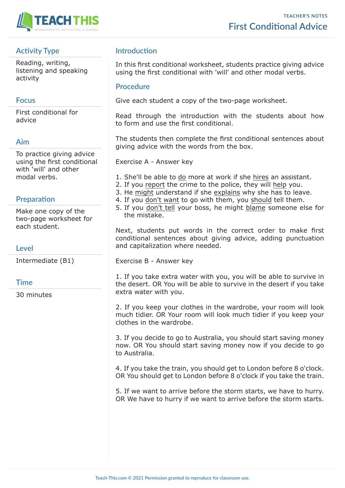

## **Activity Type**

Reading, writing, listening and speaking activity

### **Focus**

First conditional for advice

## **Aim**

To practice giving advice using the first conditional with 'will' and other modal verbs.

#### **Preparation**

Make one copy of the two-page worksheet for each student.

### **Level**

Intermediate (B1)

#### **Time**

30 minutes

## **Introduction**

In this first conditional worksheet, students practice giving advice using the first conditional with 'will' and other modal verbs.

#### **Procedure**

Give each student a copy of the two-page worksheet.

Read through the introduction with the students about how to form and use the first conditional.

The students then complete the first conditional sentences about giving advice with the words from the box.

Exercise A - Answer key

- 1. She'll be able to do more at work if she hires an assistant.
- 2. If you report the crime to the police, they will help you.
- 3. He might understand if she explains why she has to leave.
- 4. If you don't want to go with them, you should tell them.
- 5. If you don't tell your boss, he might blame someone else for the mistake.

Next, students put words in the correct order to make first conditional sentences about giving advice, adding punctuation and capitalization where needed.

Exercise B - Answer key

1. If you take extra water with you, you will be able to survive in the desert. OR You will be able to survive in the desert if you take extra water with you.

2. If you keep your clothes in the wardrobe, your room will look much tidier. OR Your room will look much tidier if you keep your clothes in the wardrobe.

3. If you decide to go to Australia, you should start saving money now. OR You should start saving money now if you decide to go to Australia.

4. If you take the train, you should get to London before 8 o'clock. OR You should get to London before 8 o'clock if you take the train.

5. If we want to arrive before the storm starts, we have to hurry. OR We have to hurry if we want to arrive before the storm starts.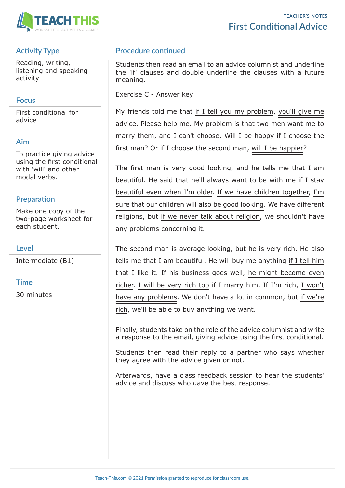

# **Activity Type**

Reading, writing, listening and speaking activity

## **Focus**

First conditional for advice

## **Aim**

To practice giving advice using the first conditional with 'will' and other modal verbs.

#### **Preparation**

Make one copy of the two-page worksheet for each student.

### **Level**

Intermediate (B1)

#### **Time**

30 minutes

# **Procedure continued**

Students then read an email to an advice columnist and underline the 'if' clauses and double underline the clauses with a future meaning.

Exercise C - Answer key

My friends told me that if I tell you my problem, you'll give me advice. Please help me. My problem is that two men want me to marry them, and I can't choose. Will I be happy if I choose the first man? Or if I choose the second man, will I be happier?

The first man is very good looking, and he tells me that I am beautiful. He said that he'll always want to be with me if I stay beautiful even when I'm older. If we have children together, I'm sure that our children will also be good looking. We have different religions, but if we never talk about religion, we shouldn't have any problems concerning it.

The second man is average looking, but he is very rich. He also tells me that I am beautiful. He will buy me anything if I tell him that I like it. If his business goes well, he might become even richer. I will be very rich too if I marry him. If I'm rich, I won't have any problems. We don't have a lot in common, but if we're rich, we'll be able to buy anything we want.

Finally, students take on the role of the advice columnist and write a response to the email, giving advice using the first conditional.

Students then read their reply to a partner who says whether they agree with the advice given or not.

Afterwards, have a class feedback session to hear the students' advice and discuss who gave the best response.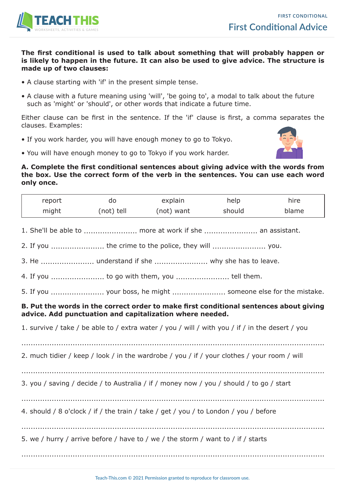

#### **The first conditional is used to talk about something that will probably happen or is likely to happen in the future. It can also be used to give advice. The structure is made up of two clauses:**

- A clause starting with 'if' in the present simple tense.
- A clause with a future meaning using 'will', 'be going to', a modal to talk about the future such as 'might' or 'should', or other words that indicate a future time.

Either clause can be first in the sentence. If the 'if' clause is first, a comma separates the clauses. Examples:

• If you work harder, you will have enough money to go to Tokyo.



• You will have enough money to go to Tokyo if you work harder.

#### **A. Complete the first conditional sentences about giving advice with the words from the box. Use the correct form of the verb in the sentences. You can use each word only once.**

| report                                                                                                                                             | do         | explain                                                  | help   | hire  |
|----------------------------------------------------------------------------------------------------------------------------------------------------|------------|----------------------------------------------------------|--------|-------|
| might                                                                                                                                              | (not) tell | (not) want                                               | should | blame |
|                                                                                                                                                    |            | 1. She'll be able to  more at work if she  an assistant. |        |       |
|                                                                                                                                                    |            | 2. If you  the crime to the police, they will  you.      |        |       |
|                                                                                                                                                    |            |                                                          |        |       |
|                                                                                                                                                    |            | 4. If you  to go with them, you  tell them.              |        |       |
|                                                                                                                                                    |            |                                                          |        |       |
| B. Put the words in the correct order to make first conditional sentences about giving<br>advice. Add punctuation and capitalization where needed. |            |                                                          |        |       |
| 1. survive / take / be able to / extra water / you / will / with you / if / in the desert / you                                                    |            |                                                          |        |       |
| 2. much tidier / keep / look / in the wardrobe / you / if / your clothes / your room / will                                                        |            |                                                          |        |       |
| 3. you / saving / decide / to Australia / if / money now / you / should / to go / start                                                            |            |                                                          |        |       |
| 4. should / 8 o'clock / if / the train / take / get / you / to London / you / before                                                               |            |                                                          |        |       |
| 5. we / hurry / arrive before / have to / we / the storm / want to / if / starts                                                                   |            |                                                          |        |       |
|                                                                                                                                                    |            |                                                          |        |       |